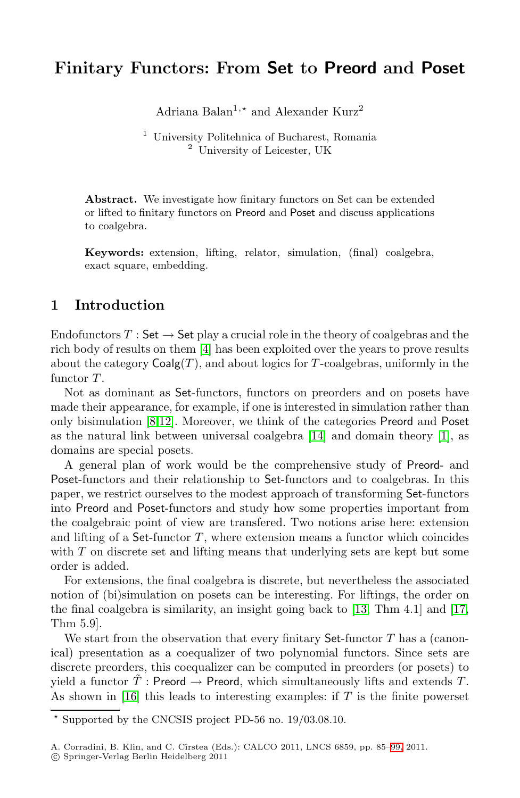# **Finitary Functors: From Set to Preord and Poset**

Adriana Balan<sup>1,\*</sup> and Alexander Kurz<sup>2</sup>

<sup>1</sup> University Politehnica of Bucharest, Romania <sup>2</sup> University of Leicester, UK

**Abstract.** We investigate how finitary functors on Set can be extended or lifted to finitary functors on Preord and Poset and discuss applications to coalgebra.

**Keywords:** extension, lifting, relator, simulation, (final) coalgebra, exact square, embedding.

## **[1](#page-14-0) Introduction**

Endofunctors  $T :$  Set  $\rightarrow$  $\rightarrow$  $\rightarrow$  Set pl[ay](#page-14-2) a crucial role in the th[eor](#page-14-3)y of coalgebras and the rich body of results on them [4] has been exploited over the years to prove results about the category  $Coalg(T)$ , and about logics for T-coalgebras, uniformly in the functor  $T$ .

Not as dominant as Set-functors, functors on preorders and on posets have made their appearance, for example, if one is interested in simulation rather than only bisimulation [8,12]. Moreover, we think of the categories Preord and Poset as the natural link between universal coalgebra [14] and domain theory [1], as domains are special posets.

A general plan of work would be the comprehensive study of Preord- and Poset-functors and their relationship to Set-functors and to coalgebras. In this paper, we restrict ourselves to the mod[est](#page-14-4) approach of tra[nsfo](#page-14-5)rming Set-functors into Preord and Poset-functors and study how some properties important from the coalgebraic point of view are transfered. Two notions arise here: extension and lifting of a Set-functor  $T$ , where extension means a functor which coincides with  $T$  on discrete set and lifting means that underlying sets are kept but some order is added.

For extensions, the final coalgebra is discrete, but nevertheless the associated notion of (bi)simulation on posets can be interesting. For liftings, the order on the final coalgebra is similarity, an insight going back to [13, Thm 4.1] and [17, Thm 5.9].

We start from the observation that every fi[nit](#page-14-6)ary  $\mathsf{Set}\text{-}\mathrm{functor}\;T$  has a (canonical) presentation as a coequalizer of two polynomial functors. Since sets are discrete preorders, this coequalizer can be computed in preorders (or posets) to yield a functor  $\hat{T}$ : Preord  $\rightarrow$  Preord, which simultaneously lifts and extends T. As shown in [16] this leads to interesting examples: if  $T$  is the finite powerset

<sup>-</sup> Supported by the CNCSIS project PD-56 no. 19/03.08.10.

A. Corradini, B. Klin, and C. Cîrstea (Eds.): CALCO 2011, LNCS 6859, pp. 85-99, 2011.

<sup>-</sup>c Springer-Verlag Berlin Heidelberg 2011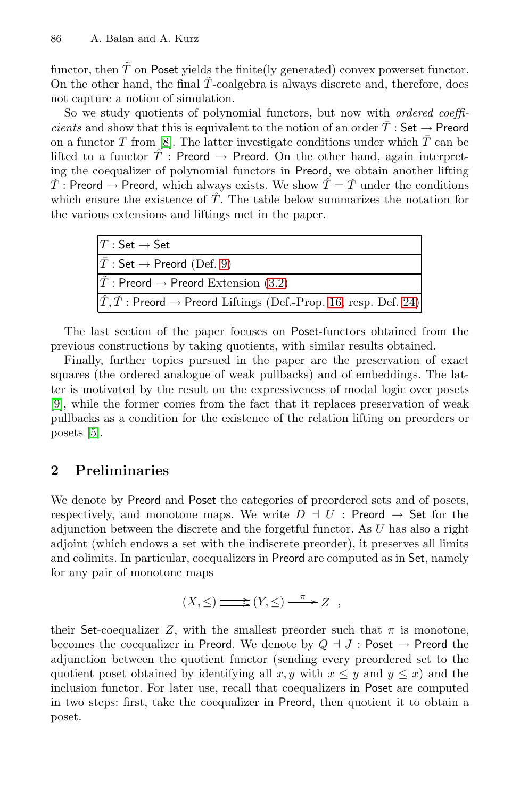functor, then  $\tilde{T}$  on Poset yields the finite(ly generated) convex powerset functor. On the other hand, the final  $\tilde{T}$ -coalgebra is always discrete and, therefore, does not capture a notion of simulation.

So we study quotients of polynomial functors, but now with *ordered coefficients* and show that this is equivalent to the notion of an order  $\overline{T}$  : Set  $\rightarrow$  Preord on a functor T from [8]. The latter investigate conditions under which  $\overline{T}$  can be lifted to a f[unc](#page-5-0)tor  $\hat{T}$ : Preord  $\rightarrow$  Preord. On the other hand, again interpreting the coequalizer of [pol](#page-4-0)ynomial functors in Preord, we obtain another lifting  $\check{T}$ : Preord  $\rightarrow$  Preord, which always exists. We show  $\hat{T} = \check{T}$  under the conditions which ensure the existence of  $\hat{T}$ . [Th](#page-8-0)e table bel[ow](#page-11-0) summarizes the notation for the various extensions and liftings met in the paper.

| $T:$ Set $\rightarrow$ Set                                                                  |
|---------------------------------------------------------------------------------------------|
| $ \bar{T}:\mathsf{Set}\to\mathsf{Preord}$ (Def. 9)                                          |
| $\tilde{T}$ : Preord $\rightarrow$ Preord Extension (3.2)                                   |
| $ \hat{T}, \check{T}$ : Preord $\rightarrow$ Preord Liftings (Def.-Prop. 16, resp. Def. 24) |

The last section of the paper focuses on Poset-functors obtained from the previous constructions by taking quotients, with similar results obtained.

Finally, further topics pursued in the paper are the preservation of exact squares (the ordered analogue of weak pullbacks) and of embeddings. The latter is motivated by the result on the expressiveness of modal logic over posets [9], while the former comes from the fact that it replaces preservation of weak pullbacks as a condition for the existence of the relation lifting on preorders or posets [5].

## **2 Preliminaries**

We denote by Preord and Poset the categories of preordered sets and of posets, respectively, and monotone maps. We write  $D + U$ : Preord  $\rightarrow$  Set for the adjunction between the discrete and the forgetful functor. As U has also a right adjoint (which endows a set with the indiscrete preorder), it preserves all limits and colimits. In particular, coequalizers in Preord are computed as in Set, namely for any pair of monotone maps

$$
(X,\leq) \Longrightarrow (Y,\leq) \stackrel{\pi}{\longrightarrow} Z ,
$$

their Set-coequalizer Z, with the smallest preorder such that  $\pi$  is monotone, becomes the coequalizer in Preord. We denote by  $Q \dashv J$ : Poset  $\to$  Preord the adjunction between the quotient functor (sending every preordered set to the quotient poset obtained by identifying all  $x, y$  with  $x \leq y$  and  $y \leq x$ ) and the inclusion functor. For later use, recall that coequalizers in Poset are computed in two steps: first, take the coequalizer in Preord, then quotient it to obtain a poset.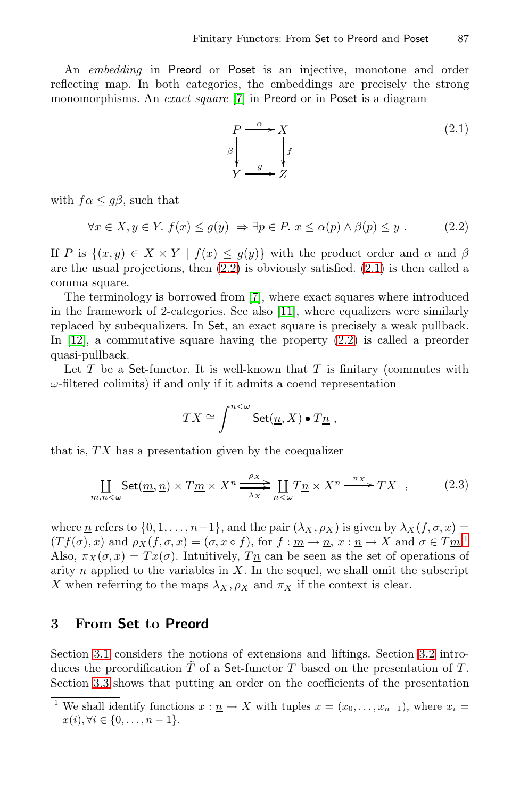<span id="page-2-0"></span>An *embedding* in Preord or Poset is an injective, monotone and order reflecting map. In both categories, the embeddings are precisely the strong monomorphisms. An *exact square* [7] in Preord or in Poset is a diagram

$$
P \xrightarrow{\alpha} X
$$
  
\n
$$
\beta \downarrow f
$$
  
\n
$$
Y \xrightarrow{g} Z
$$
  
\n(2.1)

with  $f \alpha \leq g \beta$ , such that

$$
\forall x \in X, y \in Y. \ f(x) \le g(y) \Rightarrow \exists p \in P. \ x \le \alpha(p) \land \beta(p) \le y \ . \tag{2.2}
$$

If P is  $\{(x, y) \in X \times Y \mid f(x) \leq q(y)\}\$  with the product order and  $\alpha$  and  $\beta$ are the usual projections, then  $(2.2)$  is obviously satisfied.  $(2.1)$  is then called a comma square.

The terminology is borrowed from [7], where exact squares where introduced in the framework of 2-categories. See also [11], where equalizers were similarly replaced by subequalizers. In Set, an exact square is precisely a weak pullback. In [12], a commutative square having the property  $(2.2)$  is called a preorder quasi-pullback.

Let  $T$  be a Set-functor. It is well-known that  $T$  is finitary (commutes with  $\omega$ -filtered colimits) if and only if it admits a coend representation

<span id="page-2-1"></span>
$$
TX \cong \int^{n<\omega} \text{Set}(\underline{n}, X) \bullet T\underline{n} ,
$$

that is,  $TX$  has a presentation given by the coequalizer

$$
\coprod_{m,n<\omega} \text{Set}(\underline{m}, \underline{n}) \times T\underline{m} \times X^n \xrightarrow[\lambda_X]{} \coprod_{n<\omega} T\underline{n} \times X^n \xrightarrow{\pi_X} TX , \qquad (2.3)
$$

where <u>n</u> refers to  $\{0, 1, \ldots, n-1\}$ , and the pair  $(\lambda_X, \rho_X)$  is given by  $\lambda_X(f, \sigma, x) =$  $(Tf(\sigma),x)$  a[n](#page-4-1)d  $\rho_X(f,\sigma,x)=(\sigma,x\circ f)$ , for  $f:\underline{m}\to \underline{n}, x:\underline{n}\to X$  and  $\sigma\in T\underline{m}$ .<sup>1</sup> Also,  $\pi_X(\sigma, x) = Tx(\sigma)$ . Intuitively,  $T_{\underline{n}}$  can be seen as the set of operations of arity n applied to the variables in  $X$ . In the sequel, we shall omit the subscript X when referring to the maps  $\lambda_X, \rho_X$  and  $\pi_X$  if the context is clear.

### **3 From Set to Preord**

Section 3.1 considers the notions of extensions and liftings. Section 3.2 introduces the preordification  $\tilde{T}$  of a **Set-**functor T based on the presentation of T. Section 3.3 shows that putting an order on the coefficients of the presentation

We shall identify functions  $x : \underline{n} \to X$  with tuples  $x = (x_0, \ldots, x_{n-1})$ , where  $x_i =$  $x(i), \forall i \in \{0, \ldots, n-1\}.$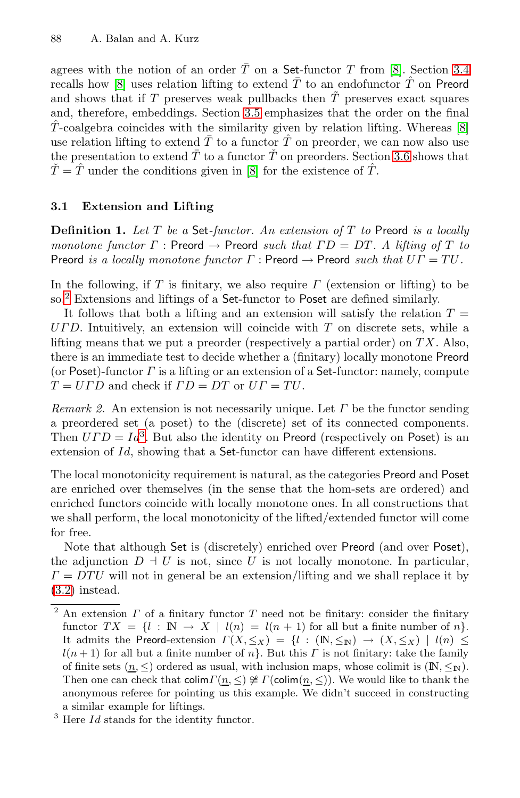<span id="page-3-1"></span><span id="page-3-0"></span>agrees with the n[oti](#page-14-0)on of an order  $\overline{T}$  on a Set-functor T from [8]. Section 3.4 recalls how [8] uses relation lifting to extend  $\overline{T}$  to an endofunctor  $\hat{T}$  on Preord and shows that if T preserves weak pullbacks then  $\tilde{T}$  preserves exact squares and, therefore, embeddings. Section 3.5 emphasizes that the order on the final  $\hat{T}$ -coalgebra coincides with the similarity given by relation lifting. Whereas [8] use relation lifting to extend  $\overline{T}$  to a functor  $\hat{T}$  on preorder, we can now also use the presentation to extend  $\overline{T}$  to a functor  $\overline{T}$  on preorders. Section 3.6 shows that  $\check{T} = \hat{T}$  under the conditions given in [8] for the existence of  $\hat{T}$ .

### **3.1 Extension and Lifting**

**Definition 1.** *Let* T *be a* Set*-functor. An extension of* T *to* Preord *is a locally monotone functor*  $\Gamma$ : Preord  $\rightarrow$  Preord *such that*  $\Gamma D = DT$ . A lifting of T to Preord *is a locally monotone functor*  $\Gamma$  : Preord  $\rightarrow$  Preord *such that*  $\overline{U}\Gamma = TU$ .

In the following, if T is finitary, we also require  $\Gamma$  (extension or lifting) to be so.<sup>2</sup> Extensions and liftings of a Set-functor to Poset are defined similarly.

It follows that both a lifting and an extension will satisfy the relation  $T =$  $U\Gamma D$ . Intuitively, an extension will coincide with  $T$  on discrete sets, while a lifting means that we put a preorder (respectively a partial order) on  $TX$ . Also, there is an immediate test to decide whether a (finitary) locally monotone Preord (or Poset)-functor  $\Gamma$  is a lifting or an extension of a Set-functor: namely, compute  $T = U \Gamma D$  and check if  $\Gamma D = DT$  or  $UT = TU$ .

*Remark 2.* An extension is not necessarily unique. Let  $\Gamma$  be the functor sending a preordered set (a poset) to the (discrete) set of its connected components. Then  $UTD = Id^3$ . But also the identity on Preord (respectively on Poset) is an extension of Id, showing that a Set-functor can have different extensions.

The local monotonicity requirement is natural, as the categories Preord and Poset are enriched over themselves (in the sense that the hom-sets are ordered) and enriched functors coincide with locally monotone ones. In all constructions that we shall perform, the local monotonicity of the lifted/extended functor will come for free.

Note that although Set is (discretely) enriched over Preord (and over Poset), the adjunction  $D \perp U$  is not, since U is not locally monotone. In particular,  $\Gamma = D T U$  will not in general be an extension/lifting and we shall replace it by (3.2) instead.

<sup>&</sup>lt;sup>2</sup> An extension  $\Gamma$  of a finitary functor  $\Gamma$  need not be finitary: consider the finitary functor  $TX = \{l : \mathbb{N} \to X \mid l(n) = l(n+1) \text{ for all but a finite number of } n\}.$ It admits the Preord-extension  $\Gamma(X, \leq_X) = \{l : (\mathbb{N}, \leq_{\mathbb{N}}) \to (X, \leq_X) \mid l(n) \leq$  $l(n+1)$  for all but a finite number of n}. But this  $\Gamma$  is not finitary: take the family of finite sets  $(n, \leq)$  ordered as usual, with inclusion maps, whose colimit is  $(\mathbb{N}, \leq_{\mathbb{N}})$ . Then one can check that  $\text{colim}\Gamma(\underline{n},\leq) \ncong \Gamma(\text{colim}(\underline{n},\leq))$ . We would like to thank the anonymous referee for pointing us this example. We didn't succeed in constructing a similar example for liftings.

 $3$  Here  $Id$  stands for the identity functor.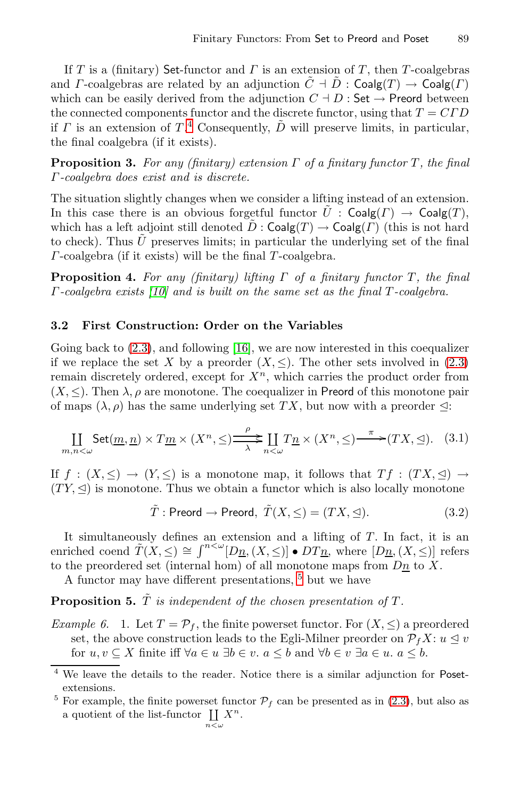If T is a (finitary) Set-functor and  $\Gamma$  is an extension of T, then T-coalgebras and *Γ*-coalgebras are related by an adjunction  $\tilde{C} \doteq \tilde{D}$  : Coalg(*T*)  $\rightarrow$  Coalg(*Γ*) which can be easily derived from the adjunction  $C \dagger D$  : Set  $\rightarrow$  Preord between the connected components functor and the discrete functor, using that  $T = C\Gamma D$ if  $\Gamma$  is an extension of  $T^4$  Consequently,  $\tilde{D}$  will preserve limits, in particular, the final coalgebra (if it exists).

**Proposition 3.** *For any (finitary) extension* Γ *of a finitary functor* T *, the final* [Γ](#page-14-7)*-coalgebra does exist and is discrete.*

<span id="page-4-1"></span>The situation slightly changes when we consider a lifting instead of an extension. In this case there is an obvious forgetful functor  $\tilde{U}$  : Coalg(T)  $\rightarrow$  Coalg(T), which has a left adjoint still denoted  $\tilde{D}$ : Coalg(T)  $\rightarrow$  Coalg(T) (this is not hard to check). Thus  $\tilde{U}$  preserves limits; in particular the un[derly](#page-2-1)ing set of the final  $\Gamma$ -coalgebra (if it exists) will be the final  $\Gamma$ -coalgebra.

**Proposition 4.** For any (finitary) lifting Γ of a finitary functor Γ, the final Γ*-coalgebra exists [10] and is built on the same set as the final* T *-coalgebra.*

#### **3.2 First Construction: Order on the Variables**

Going back to  $(2.3)$ , and following [16], we are now interested in this coequalizer if we replace the set X by a preorder  $(X, \leq)$ . The other sets involved in (2.3) remain discretely ordered, except for  $X<sup>n</sup>$ , which carries the product order from  $(X, \leq)$ . Then  $\lambda$ ,  $\rho$  are monotone. The coequalizer in Preord of this monotone pair of maps  $(\lambda, \rho)$  has the same underlying set TX, but now with a preorder  $\leq$ :

$$
\coprod_{m,n<\omega} \operatorname{Set}(\underline{m},\underline{n}) \times T\underline{m} \times (X^n,\leq) \xrightarrow{\rho} \coprod_{n<\omega} T\underline{n} \times (X^n,\leq) \xrightarrow{\pi} (TX,\trianglelefteq). \tag{3.1}
$$

If  $f : (X, \leq) \to (Y, \leq)$  is [a](#page-4-2) monotone map, it follows that  $Tf : (TX, \leq) \to$  $(TY, \trianglelefteq)$  is monotone. Thus we obtain a functor which is also locally monotone

<span id="page-4-3"></span><span id="page-4-0"></span>
$$
\tilde{T} : \text{Preord} \to \text{Preord}, \ \tilde{T}(X, \leq) = (TX, \leq). \tag{3.2}
$$

It simultaneously defines an extension and a lifting of  $T$ . In fact, it is an enriched coend  $\tilde{T}(X, \leq) \cong \int^{n \leq \omega} [D_{\underline{n}},(X, \leq)] \bullet DT_{\underline{n}},$  where  $[D_{\underline{n}},(X, \leq)]$  refers to the preordered set (internal hom) of all monotone maps from  $D_{\underline{n}}$  to X.

A functor may have different presentations[,](#page-2-1) <sup>5</sup> but we have

 $n<\omega$ 

<span id="page-4-2"></span>**Proposition 5.**  $\tilde{T}$  *is independent of the chosen presentation of*  $T$ *.* 

*Example 6.* 1. Let  $T = \mathcal{P}_f$ , the finite powerset functor. For  $(X, \leq)$  a preordered set, the above construction leads to the Egli-Milner preorder on  $\mathcal{P}_f X: u \leq v$ for  $u, v \subseteq X$  finite iff  $\forall a \in u \exists b \in v$ .  $a \leq b$  and  $\forall b \in v \exists a \in u$ .  $a \leq b$ .

<sup>4</sup> We leave the details to the reader. Notice there is a similar adjunction for Posetextensions.

<sup>&</sup>lt;sup>5</sup> For example, the finite powerset functor  $P_f$  can be presented as in (2.3), but also as a quotient of the list-functor  $\coprod X^n$ .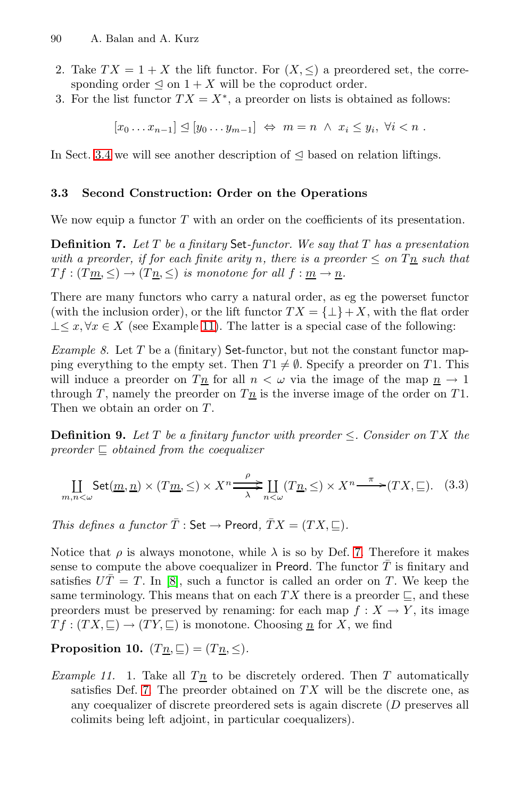- 90 A. Balan and A. Kurz
- 2. Take  $TX = 1 + X$  the lift functor. For  $(X, \leq)$  a preordered set, the corresponding order  $\leq$  on  $1 + X$  will be the coproduct order.
- 3. For the list functor  $TX = X^*$ , a preorder on lists is obtained as follows:

<span id="page-5-2"></span>
$$
[x_0 \ldots x_{n-1}] \leq [y_0 \ldots y_{m-1}] \Leftrightarrow m = n \wedge x_i \leq y_i, \forall i < n.
$$

In Sect. 3.4 we will see another description of  $\leq$  based on relation liftings.

### **3.3 Second Construction: Order on the Operations**

We now [equi](#page-5-1)p a functor  $T$  with an order on the coefficients of its presentation.

**Definition 7.** *Let* T *be a finitary* Set*-functor. We say that* T *has a presentation with a preorder, if for each finite arity* n, there is a preorder  $\leq$  on  $T_n$  such that  $T f : (T m, \leq) \to (T n, \leq)$  *is monotone for all*  $f : m \to n$ *.* 

<span id="page-5-0"></span>There are many functors who carry a natural order, as eg the powerset functor (with the inclusion order), or the lift functor  $TX = \{\perp\} + X$ , with the flat order  $\perp \leq x, \forall x \in X$  (see Example 11). The latter is a special case of the following:

*Example 8.* Let  $T$  be a (finitary) Set-functor, but not the constant functor mapping everything to the empty set. Then  $T1 \neq \emptyset$ . Specify a preorder on T1. This will induce a preorder on  $T_{\underline{n}}$  for all  $n < \omega$  via the image of the map  $n \to 1$ through T, namely the preorder on  $T_{\mathcal{I}}$  is the inverse image of the order on T1. Then we obtain an order on T.

**Definition 9.** Let T be a finitary fun[cto](#page-5-2)r with preorder  $\leq$ . Consider on TX the *preorder*  $\subseteq$  *obtained from the coequalizer* 

<span id="page-5-3"></span>
$$
\coprod_{m,n<\omega} \operatorname{Set}(\underline{m},\underline{n}) \times (T\underline{m},\leq) \times X^n \xrightarrow{\rho} \coprod_{n<\omega} (T\underline{n},\leq) \times X^n \xrightarrow{\pi} (TX,\sqsubseteq). \tag{3.3}
$$

*This defines a functor*  $\overline{T}$  : Set  $\rightarrow$  Preord,  $\overline{T}X = (TX, \sqsubseteq)$ *.* 

<span id="page-5-1"></span>Notice that  $\rho$  is always monotone, while  $\lambda$  is so by Def. 7. Therefore it makes sense to compute the above coequalizer in Preord. The functor  $T$  is finitary and satisfies  $U\overline{T} = T$ . In [8], such a functor is called an order on T. We keep the same terminology. This means that on each TX there is a preorder  $\sqsubseteq$ , and these preorders must be preserved by renaming: for each map  $f: X \to Y$ , its image  $T f : (TX, \sqsubseteq) \to (TY, \sqsubseteq)$  is monotone. Choosing  $\underline{n}$  for X, we find

**Proposition 10.**  $(T_{\underline{n}}, \underline{\sqsubseteq}) = (T_{\underline{n}}, \leq)$ .

*Example 11.* 1. Take all  $T_{\underline{n}}$  to be discretely ordered. Then T automatically satisfies Def. 7. The preorder obtained on  $TX$  will be the discrete one, as any coequalizer of discrete preordered sets is again discrete (D preserves all colimits being left adjoint, in particular coequalizers).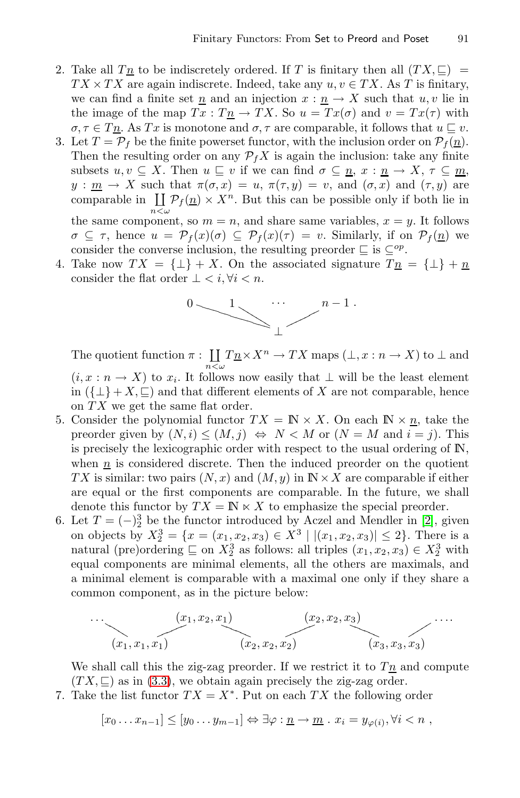- 2. Take all  $T_{\mathcal{I}}$  to be indiscretely ordered. If T is finitary then all  $(TX, \subseteq)$  $TX \times TX$  are again indiscrete. Indeed, take any  $u, v \in TX$ . As T is finitary, we can find a finite set  $\underline{n}$  and an injection  $x : \underline{n} \to X$  such that  $u, v$  lie in the image of the map  $Tx : T_{\underline{n}} \to TX$ . So  $u = Tx(\sigma)$  and  $v = Tx(\tau)$  with  $\sigma, \tau \in T_{\underline{n}}$ . As Tx is monotone and  $\sigma, \tau$  are comparable, it follows that  $u \sqsubseteq v$ .
- <span id="page-6-0"></span>3. Let  $T = \mathcal{P}_f$  be the finite powerset functor, with the inclusion order on  $\mathcal{P}_f(\underline{n})$ . Then the resulting order on any  $\mathcal{P}_f X$  is again the inclusion: take any finite subsets  $u, v \subseteq X$ . Then  $u \sqsubseteq v$  if we can find  $\sigma \subseteq \underline{n}, x : \underline{n} \to X, \tau \subseteq \underline{m}$ ,  $y : \underline{m} \to X$  such that  $\pi(\sigma, x) = u$ ,  $\pi(\tau, y) = v$ , and  $(\sigma, x)$  and  $(\tau, y)$  are comparable in  $\coprod_{n<\omega} \mathcal{P}_f(n) \times X^n$ . But this can be possible only if both lie in the same component, so  $m = n$ , and share same variables,  $x = y$ . It follows  $\sigma \subseteq \tau$ , hence  $u = \mathcal{P}_f(x)(\sigma) \subseteq \mathcal{P}_f(x)(\tau) = v$ . Similarly, if on  $\mathcal{P}_f(\underline{n})$  we consider the converse inclusion, the resulting preorder  $\subseteq$  is  $\subseteq^{op}$ .
- 4. Take now  $TX = \{\perp\} + X$ . On the associated signature  $T_{\underline{n}} = \{\perp\} + \underline{n}$ consider the flat order  $\bot < i, \forall i < n$ .

$$
\bigcup_{n=1}^{\infty} \bigcup_{n=1}^{\infty} \bigcap_{n=1}^{\infty} \bigcap_{n=1}^{\infty} \bigcap_{n=1}^{\infty} \bigcap_{n=1}^{\infty} \bigcap_{n=1}^{\infty} \bigcap_{n=1}^{\infty} \bigcap_{n=1}^{\infty} \bigcap_{n=1}^{\infty} \bigcap_{n=1}^{\infty} \bigcap_{n=1}^{\infty} \bigcap_{n=1}^{\infty} \bigcap_{n=1}^{\infty} \bigcap_{n=1}^{\infty} \bigcap_{n=1}^{\infty} \bigcap_{n=1}^{\infty} \bigcap_{n=1}^{\infty} \bigcap_{n=1}^{\infty} \bigcap_{n=1}^{\infty} \bigcap_{n=1}^{\infty} \bigcap_{n=1}^{\infty} \bigcap_{n=1}^{\infty} \bigcap_{n=1}^{\infty} \bigcap_{n=1}^{\infty} \bigcap_{n=1}^{\infty} \bigcap_{n=1}^{\infty} \bigcap_{n=1}^{\infty} \bigcap_{n=1}^{\infty} \bigcap_{n=1}^{\infty} \bigcap_{n=1}^{\infty} \bigcap_{n=1}^{\infty} \bigcap_{n=1}^{\infty} \bigcap_{n=1}^{\infty} \bigcap_{n=1}^{\infty} \bigcap_{n=1}^{\infty} \bigcap_{n=1}^{\infty} \bigcap_{n=1}^{\infty} \bigcap_{n=1}^{\infty} \bigcap_{n=1}^{\infty} \bigcap_{n=1}^{\infty} \bigcap_{n=1}^{\infty} \bigcap_{n=1}^{\infty} \bigcap_{n=1}^{\infty} \bigcap_{n=1}^{\infty} \bigcap_{n=1}^{\infty} \bigcap_{n=1}^{\infty} \bigcap_{n=1}^{\infty} \bigcap_{n=1}^{\infty} \bigcap_{n=1}^{\infty} \bigcap_{n=1}^{\infty} \bigcap_{n=1}^{\infty} \bigcap_{n=1}^{\infty} \bigcap_{n=1}^{\infty} \bigcap_{n=1}^{\infty} \bigcap_{n=1}^{\infty} \bigcap_{n=1}^{\infty} \bigcap_{n=1}^{\infty} \bigcap_{n=
$$

The quotient function  $\pi: \coprod_{n<\omega} T_{\underline{n}} \times X^n \to TX$  maps  $(\bot, x : n \to X)$  to  $\bot$  and  $(i, x : n \to X)$  to  $x_i$ . It follows now easily that  $\bot$  will be the least element

in  $({{\perp} + X, \sqsubseteq})$  and that different elements of X are not comparable, hence on  $TX$  we get the same flat order.

- 5[.](#page-14-9) Consider the polynomial functor  $TX = \mathbb{N} \times X$ . On each  $\mathbb{N} \times \underline{n}$ , take the preorder given by  $(N, i) \le (M, j) \Leftrightarrow N < M$  or  $(N = M \text{ and } i = j)$ . This is precisely the lexicographic order with respect to the usual ordering of  $\mathbb{N}$ , when  $n$  is considered discrete. Then the induced preorder on the quotient TX is similar: two pairs  $(N, x)$  and  $(M, y)$  in  $\mathbb{N} \times X$  are comparable if either are equal or the first components are comparable. In the future, we shall denote this functor by  $TX = \mathbb{N} \times X$  to emphasize the special preorder.
- 6. Let  $T = (-)^3$  be the functor introduced by Aczel and Mendler in [2], given on objects by  $X_2^3 = \{x = (x_1, x_2, x_3) \in X^3 \mid |(x_1, x_2, x_3)| \leq 2\}$ . There is a natural (pre)ordering  $\subseteq$  on  $X_2^3$  as follows: all triples  $(x_1, x_2, x_3) \in X_2^3$  with equal components are minimal elements, all the others are maximals, and a minimal element is comparable with a maximal one only if they share a common component, as in the picture below:

$$
\cdots \underbrace{(x_1, x_2, x_1)}_{(x_1, x_1, x_1)} \underbrace{(x_2, x_2, x_2)}_{(x_2, x_2, x_2)} \cdots \underbrace{(x_3, x_3, x_3)}_{(x_3, x_3, x_3)} \cdots
$$

We shall call this the zig-zag preorder. If we restrict it to  $T_{\mathcal{I}}$  and compute  $(TX, \subseteq)$  as in (3.3), we obtain again precisely the zig-zag order.

7. Take the list functor  $TX = X^*$ . Put on each  $TX$  the following order

$$
[x_0 \ldots x_{n-1}] \leq [y_0 \ldots y_{m-1}] \Leftrightarrow \exists \varphi : \underline{n} \to \underline{m} \ldots x_i = y_{\varphi(i)}, \forall i < n ,
$$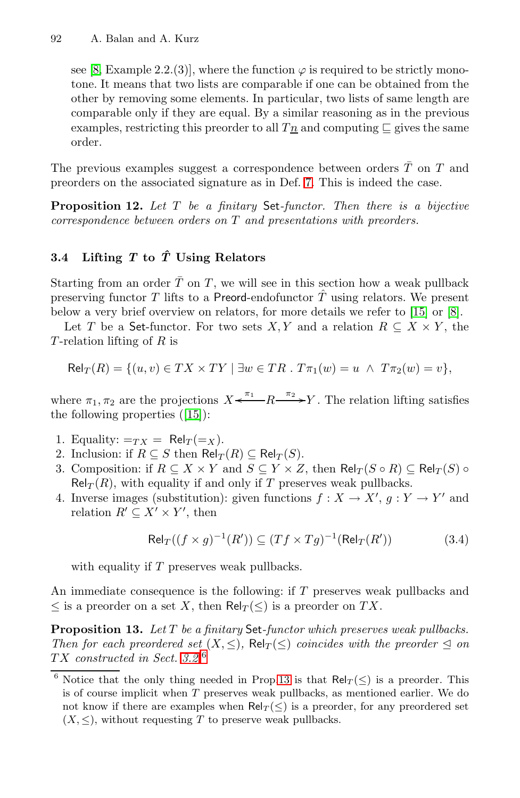see [8, Example 2.2.(3)], [wh](#page-5-2)ere the function  $\varphi$  is required to be strictly monotone. It means that two lists are comparable if one can be obtained from the other by removing some elements. In particular, two lists of same length are comparable only if they are equal. By a similar reasoning as in the previous examples, restricting this preorder to all  $T_n$  and computing  $\Box$  gives the same order.

The previous examples suggest a correspondence between orders  $\overline{T}$  on  $T$  and preorders on the associated signature as in Def. 7. This is indeed the case.

**Proposition 12.** *Let* T *be a finitary* Set*-funct[or.](#page-14-10) Th[en](#page-14-0) there is a bijective correspondence between orders on* T *and presentations with preorders.*

## **3.4 Lifting** *T* **to** *Tˆ* **Using Relators**

Starting from an order  $\overline{T}$  on T, we will see in this section how a weak pullback preser[ving](#page-14-10) functor T lifts to a Preord-endofunctor  $\hat{T}$  using relators. We present below a very brief overview on relators, for more details we refer to [15] or [8].

Let T be a Set-functor. For two sets X, Y and a relation  $R \subseteq X \times Y$ , the T-relation lifting of  $R$  is

$$
\mathsf{Rel}_T(R) = \{ (u, v) \in TX \times TY \mid \exists w \in TR \,.\, T\pi_1(w) = u \ \land \ T\pi_2(w) = v \},
$$

where  $\pi_1, \pi_2$  are the projections  $X \xleftarrow{\pi_1} R \xrightarrow{\pi_2} Y$ . The relation lifting satisfies the following properties ([15]):

- 1. Equality:  $=r_X = \text{Rel}_T(=x)$ .
- 2. Inclusion: if  $R \subseteq S$  then  $\text{Rel}_T(R) \subseteq \text{Rel}_T(S)$ .
- 3. Composition: if  $R \subseteq X \times Y$  and  $S \subseteq Y \times Z$ , then  $\text{Rel}_T(S \circ R) \subseteq \text{Rel}_T(S)$  $\text{Rel}_T(R)$ , with equality if and only if T preserves weak pullbacks.
- 4. Inverse images (substitution): given functions  $f: X \to X'$ ,  $g: Y \to Y'$  and relation  $R' \subseteq X' \times Y'$ , then

<span id="page-7-0"></span>
$$
\text{Rel}_T((f \times g)^{-1}(R')) \subseteq (Tf \times Tg)^{-1}(\text{Rel}_T(R')) \tag{3.4}
$$

with equality if T p[rese](#page-7-0)rves weak pullbacks.

An immediate consequence is the following: if T preserves weak pullbacks and  $\leq$  is a preorder on a set X, then Rel $_T(\leq)$  is a preorder on TX.

**Proposition 13.** *Let* T *be a finitary* Set*-functor which preserves weak pullbacks. Then for each preordered set*  $(X, \leq)$ ,  $\text{Rel}_T(\leq)$  *coincides with the preorder*  $\leq$  *on* T X *constructed in Sect. 3.2.*<sup>6</sup>

<sup>&</sup>lt;sup>6</sup> Notice that the only thing needed in Prop.13 is that  $\text{Rel}_T(\leq)$  is a preorder. This is of course implicit when  $T$  preserves weak pullbacks, as mentioned earlier. We do not know if there are examples when  $\text{Rel}_T(\leq)$  is a preorder, for any preordered set  $(X, \leq)$ , without requesting T to preserve weak pullbacks.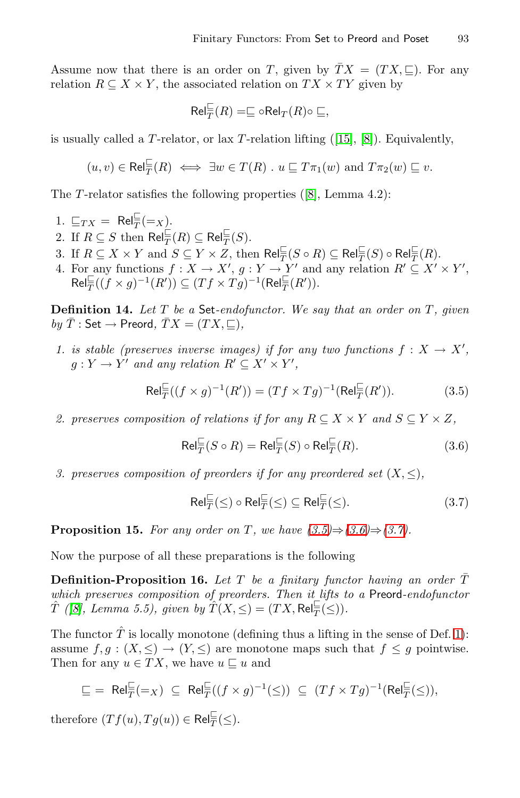Assume now that there is an order on T, given by  $\overline{T}X = (TX, \subseteq)$ . For any relation  $R \subseteq X \times Y$ , the asso[cia](#page-14-0)ted relation on  $TX \times TY$  given by

<span id="page-8-1"></span>
$$
\mathsf{Rel}_{\overline{T}}^{\sqsubseteq}(R) = \sqsubseteq \circ \mathsf{Rel}_T(R) \circ \sqsubseteq,
$$

<span id="page-8-4"></span>is usually called a T-relator, or lax T-relation lifting  $(15, 8)$ . Equivalently,

$$
(u, v) \in \text{Rel}_{\overline{T}}^{\perp}(R) \iff \exists w \in T(R) \; u \sqsubseteq T\pi_1(w) \text{ and } T\pi_2(w) \sqsubseteq v.
$$

The  $T$ -relator satisfies the following properties ([8], Lemma 4.2):

- 1.  $\sqsubseteq_{TX} = \text{Rel}_{\overline{T}}^{\sqsubseteq} (=X)$ .
- 2. If  $R \subseteq S$  then  $\mathsf{Rel}^{\sqsubset}_T(R) \subseteq \mathsf{Rel}^{\sqsubset}_T(S)$ .
- 3. If  $R \subseteq X \times Y$  and  $S \subseteq Y \times Z$ , then  $\text{Rel}_{\overline{T}}^{\sqsubset}(S \circ R) \subseteq \text{Rel}_{\overline{T}}^{\sqsubset}(S) \circ \text{Rel}_{\overline{T}}^{\sqsubset}(R)$ .
- 4. For any functions  $f: X \to X'$ ,  $g: Y \to Y'$  and any relation  $R' \subseteq X' \times Y'$ ,  $\mathsf{Rel}_{\overline{T}}^{\sqcup}((f \times g)^{-1}(R')) \subseteq (Tf \times Tg)^{-1}(\mathsf{Rel}_{\overline{T}}^{\sqcup}(R')).$

**Definition 14.** Let T be a Set-endofunctor. We say that an order on T, given  $by \bar{T}$ : Set  $\rightarrow$  Preord,  $\bar{T}X = (TX, \sqsubseteq)$ ,

*1. is stable (preserves inverse images) if for any two functions*  $f: X \to X'$ ,  $g: Y \to Y'$  and any relation  $R' \subseteq X' \times Y'$ ,

$$
\text{Rel}_{\overline{T}}^{\sqsubseteq}((f \times g)^{-1}(R')) = (Tf \times Tg)^{-1}(\text{Rel}_{\overline{T}}^{\sqsubseteq}(R')).
$$
 (3.5)

2. preserves composition of r[elati](#page-8-1)on[s if f](#page-8-2)or [any](#page-8-3)  $R \subseteq X \times Y$  and  $S \subseteq Y \times Z$ ,

<span id="page-8-3"></span><span id="page-8-2"></span><span id="page-8-0"></span>
$$
\text{Rel}_{\overline{T}}^{\sqsubseteq}(S \circ R) = \text{Rel}_{\overline{T}}^{\sqsubseteq}(S) \circ \text{Rel}_{\overline{T}}^{\sqsubseteq}(R). \tag{3.6}
$$

*3. preserves composition of preorders if for any preordered set*  $(X, \leq)$ ,

$$
\mathsf{Rel}_{\overline{T}}^{\sqsubseteq}(\le) \circ \mathsf{Rel}_{\overline{T}}^{\sqsubseteq}(\le) \subseteq \mathsf{Rel}_{\overline{T}}^{\sqsubseteq}(\le). \tag{3.7}
$$

**Proposition 15.** *For any order on T*, we have  $(3.5) \Rightarrow (3.6) \Rightarrow (3.7)$  $(3.5) \Rightarrow (3.6) \Rightarrow (3.7)$  $(3.5) \Rightarrow (3.6) \Rightarrow (3.7)$ .

Now the purpose of all these preparations is the following

**Definition-Proposition 16.** Let T be a finitary functor having an order  $\overline{T}$ *which preserves composition of preorders. Then it lifts to a* Preord*-endofunctor*  $\hat{T}$  ([8], Lemma 5.5), given by  $\hat{T}(X, \leq) = (TX, \text{Rel}_{\overline{T}}^{\sqsubseteq}(\leq)).$ 

The functor  $\hat{T}$  is locally monotone (defining thus a lifting in the sense of Def. 1): assume  $f,g:(X,\leq)\to(Y,\leq)$  are monotone maps such that  $f\leq g$  pointwise. Then for any  $u \in TX$ , we have  $u \sqsubseteq u$  and

$$
\underline{\sqsubseteq} = \text{ Rel}_{\overline{T}}^{\underline{\sqsubseteq}}(=_X) \subseteq \text{Rel}_{\overline{T}}^{\underline{\sqsubseteq}}((f \times g)^{-1}(\leq)) \subseteq (Tf \times Tg)^{-1}(\text{Rel}_{\overline{T}}^{\underline{\sqsubseteq}}(\leq)),
$$

therefore  $(Tf(u), Tg(u)) \in \text{Rel}_{\overline{T}}^{\sqsubset}(\leq).$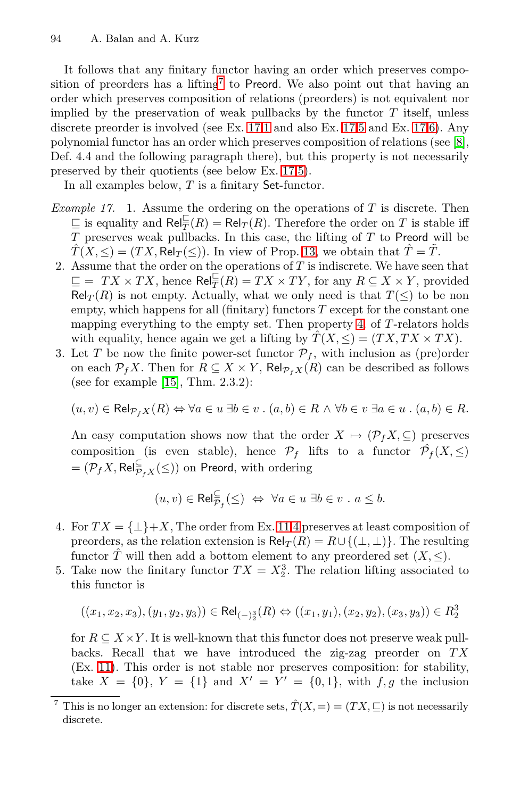<span id="page-9-0"></span>It follows that any fi[nita](#page-9-0)[ry](#page-9-1) functor having an order which preserves composition of preorders has a lifting<sup>7</sup> to Preord. We also point out that having an order which preserves composition of relations (preorders) is not equivalent nor implied by the preservation of weak pullbacks by the functor  $T$  itself, unless discrete preorder is involved (see Ex. 17.1 and also Ex. 17.5 and Ex. 17.6). Any polynomial functor has an or[der](#page-7-0) which preserves composition of relations (see [8], Def. 4.4 and the following paragraph there), but this property is not necessarily preserved by their quotients (see below Ex. 17.5).

In all examples below,  $T$  is a finitary Set-functor.

- *Example 17.* 1. Assume the ordering [on](#page-8-4) the operations of T is discrete. Then  $\subseteq$  is equality and  $\text{Rel}_{\overline{T}}(R) = \text{Rel}_T(R)$ . Therefore the order on T is stable iff  $T$  preserves weak pullbacks. In this case, the lifting of  $T$  to Preord will be  $\hat{T}(X, \leq) = (TX, \text{Rel}_T (\leq))$ . In view of Prop. 13, we obtain that  $\hat{T} = \tilde{T}$ .
- 2[. A](#page-14-10)ssume that the order on the operations of  $T$  is indiscrete. We have seen that  $\subseteq$  =  $TX \times TX$ , hence  $\mathsf{Rel}^{\models}_{\overline{T}}(R) = TX \times TY$ , for any  $R \subseteq X \times Y$ , provided  $\text{Rel}_T(R)$  is not empty. Actually, what we only need is that  $T(\leq)$  to be non empty, which happens for all (finitary) functors  $T$  except for the constant one mapping everything to the empty set. Then property 4. of  $T$ -relators holds with equality, hence again we get a lifting by  $\hat{T}(X, \leq)=(TX, TX \times TX)$ .
- 3. Let T be now the finite power-set functor  $\mathcal{P}_f$ , with inclusion as (pre)order on each  $\mathcal{P}_f X$ . Then for  $R \subseteq X \times Y$ , Rel $_{\mathcal{P}_f X}(R)$  can be described as follows (see for example [15], Thm. 2.3.2):

$$
(u, v) \in \text{Rel}_{\mathcal{P}_f X}(R) \Leftrightarrow \forall a \in u \exists b \in v \ . \ (a, b) \in R \land \forall b \in v \ \exists a \in u \ . \ (a, b) \in R.
$$

<span id="page-9-1"></span>An easy computation shows now that the order  $X \mapsto (\mathcal{P}_f X, \subseteq)$  preserves composition (is even stable), hence  $\mathcal{P}_f$  lifts to a functor  $\hat{\mathcal{P}}_f(X,\leq)$  $\mathcal{P}_f[X,\mathsf{Rel}^{\sqsubset}_{\overline{\mathcal{P}}_fX}(\leq))$  on Preord, with ordering

$$
(u,v) \in \text{Rel}_{\overline{\mathcal{P}}_f}^{\subseteq}(\leq) \iff \forall a \in u \; \exists b \in v \; . \; a \leq b.
$$

- 4. For  $TX = {\perp}+X$ , The order from Ex. 11.4 preserves at least composition of preorders, as the relation extension is  $\text{Rel}_T(R) = R \cup \{(\perp, \perp)\}\.$  The resulting functor  $\hat{T}$  will then add a bottom element to any preordered set  $(X, \leq)$ .
- 5. Take now the finitary functor  $TX = X_2^3$ . The relation lifting associated to this functor is

$$
((x_1,x_2,x_3),(y_1,y_2,y_3))\in \mathsf{Rel}_{(-)_{2}^3}(R) \Leftrightarrow ((x_1,y_1),(x_2,y_2),(x_3,y_3))\in R_{2}^3
$$

for  $R \subseteq X \times Y$ . It is well-known that this functor does not preserve weak pullbacks. Recall that we have introduced the zig-zag preorder on  $TX$ (Ex. 11). This order is not stable nor preserves composition: for stability, take  $X = \{0\}$ ,  $Y = \{1\}$  and  $X' = Y' = \{0,1\}$ , with  $f, g$  the inclusion

This is no longer an extension: for discrete sets,  $\hat{T}(X, =) = (TX, \sqsubseteq)$  is not necessarily discrete.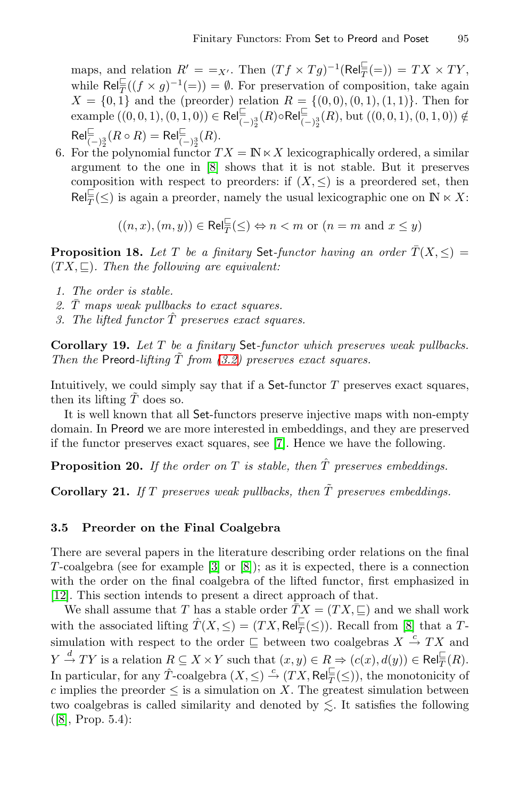maps, and relation  $R' = -X'$ . Then  $(Tf \times Tg)^{-1}(\text{Rel}_{\overline{T}}^{\sqsubseteq} (=)) = TX \times TY$ , while  $\text{Rel}_{\overline{T}}^{\sqsubseteq}((f \times g)^{-1}(\equiv)) = \emptyset$ . For preservation of composition, take again  $X = \{0, 1\}$  and the (preorder) relation  $R = \{(0, 0), (0, 1), (1, 1)\}.$  Then for  $\text{example } ((0,0,1), (0,1,0)) \in \text{Rel}_{(-)\frac{3}{2}}^{\sqsubseteq}(R) \circ \text{Rel}_{(-)\frac{3}{2}}^{\sqsubseteq}(R)$ , but  $((0,0,1), (0,1,0)) \notin$  $\mathsf{Rel}^{\sqsubseteq}_{(-)^3_2}(R \circ R) = \mathsf{Rel}^{\sqsubseteq}_{(-)^3_2}(R).$ 

6. For the polynomial functor  $TX = \mathbb{N} \ltimes X$  lexicographically ordered, a similar argument to the one in [8] shows that it is not stable. But it preserves composition with respect to preorders: if  $(X, \leq)$  is a preordered set, then  $\text{Rel}_{\overline{T}}^{\sqsubseteq}(\leq)$  is again a preorder, namely the usual lexicographic one on  $\mathbb{N} \ltimes X$ :

 $((n, x), (m, y)) \in \text{Rel}_{\overline{T}}^{\sqsubseteq}(\leq) \Leftrightarrow n < m$  or  $(n = m \text{ and } x \leq y)$ 

**Propositio[n](#page-4-0) [18](#page-4-0).** *Let* T *be a finitary* Set-functor having an order  $\overline{T}(X, \leq)$  =  $(TX, \subseteq)$ *. Then the following are equivalent:* 

- *1. The order is stable.*
- 2.  $\overline{T}$  maps weak pullbacks to exact squares.
- *3. The lifted functor* Tˆ *[p](#page-14-11)reserves exact squares.*

**Corollary 19.** *Let* T *be a finitary* Set*-functor which preserves weak pullbacks. Then the* Preord-lifting  $\overline{T}$  *from (3.2)* preserves exact squares.

Intuitively, we could simply say that if a  $Set\text{-}functor T$  preserves exact squares, then its lifting  $T$  does so.

It is well known that all Set-functors preserve injective maps with non-empty domain. In Preord we are more interested in embeddings, and they are preserved if the functor preserves exact squares, see [7]. Hence we have the following.

**Propositi[on](#page-14-12) 20[.](#page-14-0)** If the order on  $T$  is stable, then  $\hat{T}$  preserves embeddings.

**Corollary 21.** If  $T$  preserves weak pullbacks, then  $\tilde{T}$  preserves embeddings.

### **3.5 Preorder on the Final Coalgebra**

There are several papers in the literature describing order relations on the final T-coalgebra (see for example  $|3|$  or  $|8|$ ); as it is expected, there is a connection with the order on the final coalgebra of the lifted functor, first emphasized in [12]. This section intends to present a direct approach of that.

We shall assume that T has a stable order  $\overline{TX} = (TX, \sqsubseteq)$  and we shall work with the associated lifting  $\hat{T}(X, \leq) = (TX, \text{Rel}_{\overline{T}}^{\sqsubseteq}(\leq))$ . Recall from [8] that a Tsimulation with respect to the order  $\subseteq$  between two coalgebras  $X \stackrel{c}{\rightarrow} TX$  and  $Y \stackrel{d}{\rightarrow} TY$  is a relation  $R \subseteq X \times Y$  such that  $(x, y) \in R \Rightarrow (c(x), d(y)) \in \text{Rel}_{\overline{T}}^{\square}(R)$ . In particular, for any  $\hat{T}$ -coalgebra  $(X, \leq) \stackrel{c}{\rightarrow} (TX, \text{Rel}_{\overline{T}}^{\sqsubseteq}(\leq))$ , the monotonicity of c implies the preorder  $\leq$  is a simulation on X. The greatest simulation between two coalgebras is called similarity and denoted by  $\leq$ . It satisfies the following ([8], Prop. 5.4):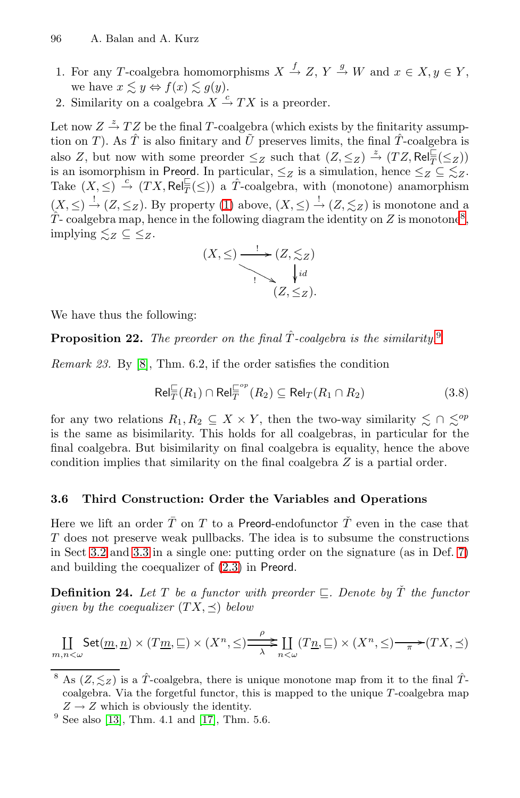- <span id="page-11-1"></span>96 A. Balan and A. Kurz
- 1. For any T-coalgebra homomorphisms  $X \stackrel{f}{\rightarrow} Z$ ,  $Y \stackrel{g}{\rightarrow} W$  and  $x \in X, y \in Y$ , we have  $x \lesssim y \Leftrightarrow f(x) \lesssim g(y)$ .
- 2. Similarity on a coalgebra  $X \stackrel{c}{\rightarrow} TX$  is a preorder.

Let now  $Z \stackrel{z}{\rightarrow} TZ$  be the final T-coalgebra (which exists by the finitarity assumption on T). As  $\hat{T}$  is also finitary and  $\tilde{U}$  preserves limits, the final  $\hat{T}$ -coalgebra is also Z, but now with some preorder  $\leq_Z$  such that  $(Z, \leq_Z) \stackrel{z}{\rightarrow} (TZ, Rel_{\overline{T}}^{\sqsubseteq}(\leq_Z))$ is an isomorphism in Preord. In particular,  $\leq_Z$  is a simulation, hence  $\leq_Z \subseteq \leq_Z$ . Take  $(X, \leq) \stackrel{c}{\rightarrow} (TX, \text{Rel}_{\overline{T}}^{\sqsubseteq}(\leq))$  a  $\hat{T}$ -coalgebra, with (monotone) anamorphism  $(X, \leq) \stackrel{!}{\rightarrow} (Z, \leq_Z)$ . By property (1) above,  $(X, \leq) \stackrel{!}{\rightarrow} (Z, \leq_Z)$  is monotone and a  $T$ - coalgebra map, hence in the following diagram the i[de](#page-11-2)ntity on Z is monotone<sup>8</sup>, implying  $\leq z \subseteq \leq z$ .

<span id="page-11-3"></span>
$$
(X, \leq) \xrightarrow{\cdot} (Z, \leq_Z)
$$
  
\n
$$
\downarrow id
$$
  
\n
$$
(Z, \leq_Z).
$$

We have thus the following:

**Proposition 22.** *The preorder on the final*  $\hat{T}$ *-coalgebra is the similarity.*<sup>9</sup>

*Remark 23.* By [8], Thm. 6.2, if the order satisfies the condition

$$
\text{Rel}_{\overline{T}}^{\sqsubseteq}(R_1) \cap \text{Rel}_{\overline{T}}^{\sqsubseteq^{op}}(R_2) \subseteq \text{Rel}_T(R_1 \cap R_2)
$$
\n(3.8)

<span id="page-11-0"></span>for any two relations  $R_1, R_2 \subseteq X \times Y$ , then the two-way similarity  $\lesssim \cap \lesssim^{op}$ is the same as bisimilarity. This holds for all coalgebras, [in](#page-5-2) particular for the final coalgeb[ra. B](#page-2-1)ut bisimilarity on final coalgebra is equality, hence the above condition implies that similarity on the final coalgebra Z is a partial order.

### **3.6 Third Construction: Order the Variables and Operations**

Here we lift an order  $\overline{T}$  on T to a Preord-endofunctor  $\check{T}$  even in the case that T does not preserve weak pullbacks. The idea is to subsume the constructions in Sect 3.2 and 3.3 in a single one: putting order on the signature (as in Def. 7) and building the coequalizer of (2.3) in Preord.

**Definition 24.** Let T be a functor with preorder  $\subseteq$ . Denote by  $\check{T}$  the functor *given by [the](#page-14-5) coequalizer*  $(TX, \preceq)$  *below* 

<span id="page-11-2"></span>
$$
\underset{m,n<\omega}{\coprod} \mathsf{Set}(\underline{m},\underline{n}) \times (T\underline{m},\underline{\sqsubseteq}) \times (X^n,\leq) \xrightarrow[\lambda]{\rho} \underset{n<\omega}{\longrightarrow} (\underline{T}\underline{n},\underline{\sqsubseteq}) \times (X^n,\leq) \xrightarrow[\pi]{} (TX,\preceq)
$$

<sup>&</sup>lt;sup>8</sup> As  $(Z, \leq_Z)$  is a  $\hat{T}$ -coalgebra, there is unique monotone map from it to the final  $\hat{T}$  $coalgebra.$  Via the forgetful functor, this is mapped to the unique  $T$ -coalgebra map  $Z \rightarrow Z$  which is obviously the identity.

 $9$  See also [13], Thm. 4.1 and [17], Thm. 5.6.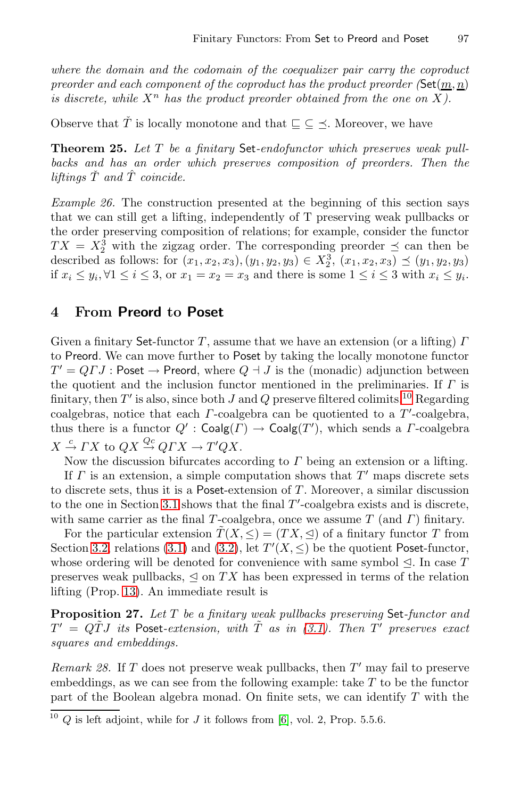*where the domain and the codomain of the coequalizer pair carry the coproduct preorder and each component of the coproduct has the product preorder (Set(m, n) is discrete, while*  $X^n$  *has the product preorder obtained from the one on* X $)$ .

Observe that  $\check{T}$  is locally monotone and that  $\subseteq \subseteq \leq$ . Moreover, we have

**Theorem 25.** *Let* T *be a finitary* Set*-endofunctor which preserves weak pullbacks and has an order which preserves composition of preorders. Then the liftings*  $\check{T}$  *and*  $\hat{T}$  *coincide.* 

*Example 26.* The construction presented at the beginning of this section says that we can still get a lifting, independently of T preserving weak pullbacks or the order preserving composition of relations; for example, consider the functor  $TX = X_2^3$  with the zigzag order. The corresponding preorder  $\preceq$  can then be described as follows: for  $(x_1, x_2, x_3), (y_1, y_2, y_3) \in X_2^3, (x_1, x_2, x_3) \preceq (y_1, y_2, y_3)$ if  $x_i \leq y_i, \forall 1 \leq i \leq 3$  $x_i \leq y_i, \forall 1 \leq i \leq 3$  $x_i \leq y_i, \forall 1 \leq i \leq 3$ , or  $x_1 = x_2 = x_3$  and there [is](#page-12-0) some  $1 \leq i \leq 3$  with  $x_i \leq y_i$ .

### **4 From Preord to Poset**

Given a finitary Set-functor T, assume that we have an extension (or a lifting)  $\Gamma$ to Preord. We can move further to Poset by taking the locally monotone functor  $T' = Q \cdot J$ : Poset  $\rightarrow$  Preord, where  $Q \cdot J$  is the (monadic) adjunction between the quotient and the inclusion functor mentioned in the preliminaries. If  $\Gamma$  is fi[nitar](#page-3-1)y, then T' is also, since both J and Q preserve filtered colimits.<sup>10</sup> Regarding coalgebras, notice that each  $\Gamma$ -coalgebra can be quotiented to a  $T'$ -coalgebra, th[us th](#page-4-3)ere is [a f](#page-4-0)unctor  $Q'$ :  $\mathsf{Coalg}(T) \to \mathsf{Coalg}(T')$ , which sends a  $\varGamma$ -coalgebra  $X \stackrel{c}{\rightarrow} \Gamma X$  to  $QX \stackrel{Qc}{\rightarrow} Q\Gamma X \rightarrow T'QX$ .

Now the discussion bifurcates according to  $\Gamma$  being an extension or a lifting. If  $\Gamma$  is an extension, a simple computation shows that  $T'$  maps discrete sets to discrete sets, thus it is a Poset-extension of  $T$ . Moreover, a similar discussion to the one in Section 3.1 shows that the final  $T'$ -coalgebra exists and is discrete, with same carrier as the final [T](#page-4-3)-coalgebra, once we assume  $T$  (and  $\Gamma$ ) finitary.

For the particular extension  $\tilde{T}(X,\leq)=(TX,\trianglelefteq)$  of a finitary functor T from Section 3.2, relations (3.1) and (3.2), let  $T'(X, \leq)$  be the quotient Poset-functor, whose ordering will be denoted for convenience with same symbol  $\trianglelefteq$ . In case T preserves weak pullbacks,  $\leq$  on TX has been expressed in terms of the relation lifting (Prop. 13). An immediate result is

<span id="page-12-0"></span>**Proposition 27.** *Let* T *[be](#page-14-13) a finitary weak pullbacks preserving* Set*-functor and*  $T' = Q\tilde{T}J$  *its* Poset-extension, with  $\tilde{T}$  as in (3.1). Then T' preserves exact *squares and embeddings.*

*Remark 28.* If  $T$  does not preserve weak pullbacks, then  $T'$  may fail to preserve embeddings, as we can see from the following example: take  $T$  to be the functor part of the Boolean algebra monad. On finite sets, we can identify  $T$  with the

 $10\,Q$  is left adjoint, while for J it follows from [6], vol. 2, Prop. 5.5.6.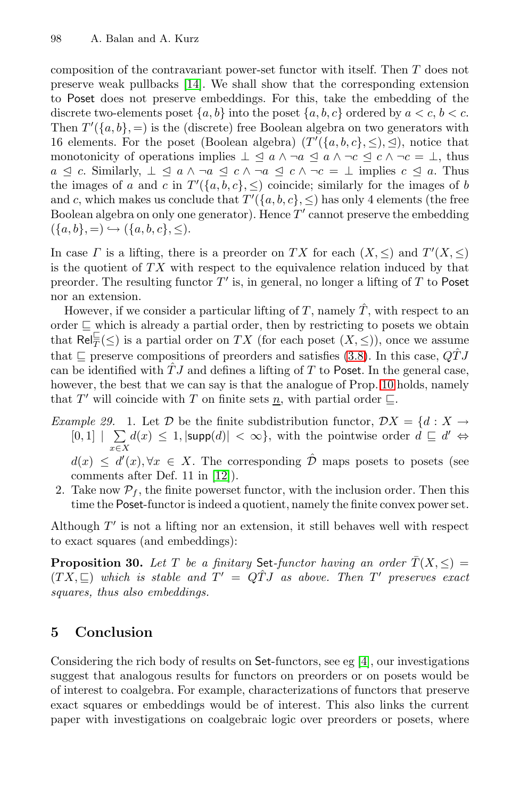composition of the contravariant power-set functor with itself. Then T does not preserve weak pullbacks [14]. We shall show that the corresponding extension to Poset does not preserve embeddings. For this, take the embedding of the discrete two-elements poset  $\{a, b\}$  into the poset  $\{a, b, c\}$  ordered by  $a < c, b < c$ . Then  $T'(\{a, b\}, =)$  is the (discrete) free Boolean algebra on two generators with 16 elements. For the poset (Boolean algebra)  $(T'(\{a,b,c\},\leq), \leq)$ , notice that monotonicity of operations implies  $\perp \leq a \land \neg a \leq a \land \neg c \leq c \land \neg c = \perp$ , thus  $a \leq c$ . Similarly,  $\perp \leq a \land \neg a \leq c \land \neg a \leq c \land \neg c = \perp$  implies  $c \leq a$ . Thus the images of a and c in  $T'(\{a, b, c\}, \leq)$  coincide; similarly for the images of b and c, which makes us conclude that  $T'(\{a, b, c\}, \leq)$  has only 4 elements (the free Boolean algebra on only one generator). Hence  $T'$  cannot preserve the embedding  $({a, b}, =) \hookrightarrow ({a, b, c}, \leq).$ 

In case  $\Gamma$  is a lifting, there is a preo[rder](#page-11-3) on TX for each  $(X, \leq)$  and  $T'(X, \leq)$ is the quotient of  $TX$  with respect to the [equi](#page-5-3)valence relation induced by that preorder. The resulting functor  $T'$  is, in general, no longer a lifting of T to Poset nor an extension.

However, if we consider a particular lifting of T, namely  $\hat{T}$ , with respect to an order  $\subseteq$  which is already a partial order, then by restricting to posets we obtain that  $\textsf{Rel}^{\perp}_{\overline{T}}(\leq)$  is a partial order on  $TX$  (for each poset  $(X, \leq)$ ), once we assume that  $\Box$  preserve compositions of preorders and satisfies (3.8). In this case,  $\widehat{QTJ}$ can be iden[tifie](#page-14-1)d with  $\ddot{T}J$  and defines a lifting of T to Poset. In the general case, however, the best that we can say is that the analogue of Prop. 10 holds, namely that T' will coincide with T on finite sets n, with partial order  $\Box$ .

*Example 29.* 1. Let  $D$  be the finite subdistribution functor,  $DX = \{d : X \rightarrow$  $[0, 1]$  |  $\sum$  $x \in X$  $d(x) \leq 1, |\textsf{supp}(d)| < \infty$ , with the pointwise order  $d \sqsubseteq d' \Leftrightarrow$ 

 $d(x) \leq d'(x), \forall x \in X$ . The corresponding  $\hat{\mathcal{D}}$  maps posets to posets (see comments after Def. 11 in [12]).

2. Take now  $\mathcal{P}_f$ , the finite powerset functor, with the inclusion order. Then this time the Poset-functor is indeed a quotient, namely the finite convex power set.

Although  $T'$  is not a lifting nor an extension, it still behaves well with respect to exact squares (and embeddings):

**Proposition 30.** Let T be a finitary Set-functor having an order  $\overline{T}(X, \leq)$  =  $(TX, \Box)$  which is stable and  $T' = \overrightarrow{OTJ}$  as above. Then T' preserves exact *squares, thus also embeddings.*

### **5 Conclusion**

Considering the rich body of results on Set-functors, see eg [4], our investigations suggest that analogous results for functors on preorders or on posets would be of interest to coalgebra. For example, characterizations of functors that preserve exact squares or embeddings would be of interest. This also links the current paper with investigations on coalgebraic logic over preorders or posets, where